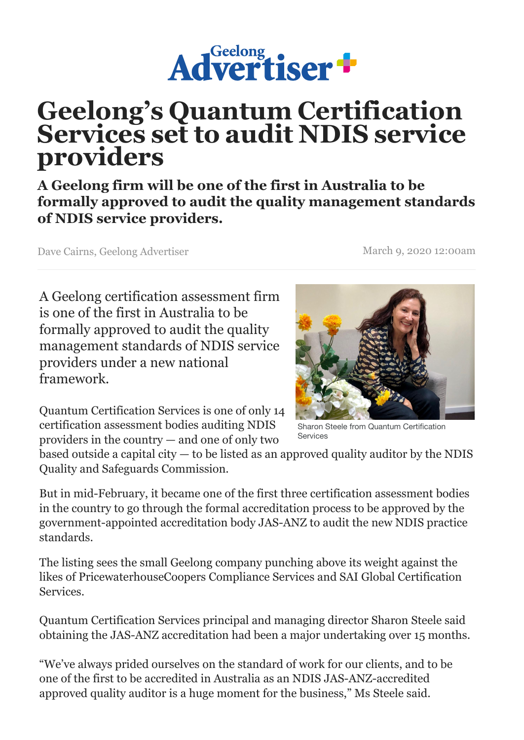

## **Geelong's [Quantum Certification](https://www.geelongadvertiser.com.au/) Services set to audit NDIS service providers**

**A Geelong firm will be one of the first in Australia to be formally approved to audit the quality management standards of NDIS service providers.**

Dave Cairns, Geelong Advertiser March 9, 2020 12:00am

A Geelong certification assessment firm is one of the first in Australia to be formally approved to audit the quality management standards of NDIS service providers under a new national framework.

Quantum Certification Services is one of only 14 certification assessment bodies auditing NDIS providers in the country — and one of only two

Sharon Steele from Quantum Certification Services

based outside a capital city  $-$  to be listed as an approved quality auditor by the NDIS Quality and Safeguards Commission.

But in mid-February, it became one of the first three certification assessment bodies in the country to go through the formal accreditation process to be approved by the government-appointed accreditation body JAS-ANZ to audit the new NDIS practice standards.

The listing sees the small Geelong company punching above its weight against the likes of PricewaterhouseCoopers Compliance Services and SAI Global Certification Services.

Quantum Certification Services principal and managing director Sharon Steele said obtaining the JAS-ANZ accreditation had been a major undertaking over 15 months.

"We've always prided ourselves on the standard of work for our clients, and to be one of the first to be accredited in Australia as an NDIS JAS-ANZ-accredited approved quality auditor is a huge moment for the business," Ms Steele said.